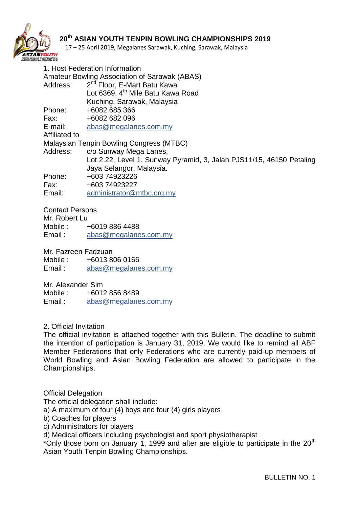

17 – 25 April 2019, Megalanes Sarawak, Kuching, Sarawak, Malaysia

1. Host Federation Information Amateur Bowling Association of Sarawak (ABAS) Address: 2 2<sup>nd</sup> Floor, E-Mart Batu Kawa Lot 6369, 4<sup>th</sup> Mile Batu Kawa Road Kuching, Sarawak, Malaysia Phone: +6082 685 366 Fax: +6082 682 096 E-mail: [abas@megalanes.com.my](mailto:abas@megalanes.com.my) Affiliated to Malaysian Tenpin Bowling Congress (MTBC) Address: c/o Sunway Mega Lanes, Lot 2.22, Level 1, Sunway Pyramid, 3, Jalan PJS11/15, 46150 Petaling Jaya Selangor, Malaysia. Phone: +603 74923226 Fax: +603 74923227 Email: administrator@mtbc.org.my

Contact Persons

Mr. Robert Lu Mobile : +6019 886 4488 Email : [abas@megalanes.com.my](mailto:abas@megalanes.com.my)

Mr. Fazreen Fadzuan

Mobile : +6013 806 0166 Email : [abas@megalanes.com.my](mailto:abas@megalanes.com.my)

Mr. Alexander Sim Mobile : +6012 856 8489 Email: [abas@megalanes.com.my](mailto:abas@megalanes.com.my)

### 2. Official Invitation

The official invitation is attached together with this Bulletin. The deadline to submit the intention of participation is January 31, 2019. We would like to remind all ABF Member Federations that only Federations who are currently paid‐up members of World Bowling and Asian Bowling Federation are allowed to participate in the Championships.

Official Delegation

The official delegation shall include:

a) A maximum of four (4) boys and four (4) girls players

b) Coaches for players

c) Administrators for players

d) Medical officers including psychologist and sport physiotherapist

\*Only those born on January 1, 1999 and after are eligible to participate in the  $20<sup>th</sup>$ Asian Youth Tenpin Bowling Championships.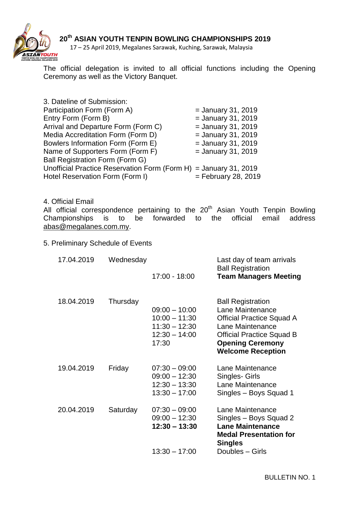

17 – 25 April 2019, Megalanes Sarawak, Kuching, Sarawak, Malaysia

The official delegation is invited to all official functions including the Opening Ceremony as well as the Victory Banquet.

| 3. Dateline of Submission:                                       |                       |
|------------------------------------------------------------------|-----------------------|
| Participation Form (Form A)                                      | $=$ January 31, 2019  |
| Entry Form (Form B)                                              | $=$ January 31, 2019  |
| Arrival and Departure Form (Form C)                              | $=$ January 31, 2019  |
| Media Accreditation Form (Form D)                                | $=$ January 31, 2019  |
| Bowlers Information Form (Form E)                                | $=$ January 31, 2019  |
| Name of Supporters Form (Form F)                                 | $=$ January 31, 2019  |
| Ball Registration Form (Form G)                                  |                       |
| Unofficial Practice Reservation Form (Form H) = January 31, 2019 |                       |
| Hotel Reservation Form (Form I)                                  | $=$ February 28, 2019 |

4. Official Email

All official correspondence pertaining to the 20<sup>th</sup> Asian Youth Tenpin Bowling Championships is to be forwarded to the official email address [abas@megalanes.com.my.](mailto:abas@megalanes.com.my)

5. Preliminary Schedule of Events

| 17.04.2019 | Wednesday | $17:00 - 18:00$                                                                   | Last day of team arrivals<br><b>Ball Registration</b><br><b>Team Managers Meeting</b>                                                                                                           |
|------------|-----------|-----------------------------------------------------------------------------------|-------------------------------------------------------------------------------------------------------------------------------------------------------------------------------------------------|
| 18.04.2019 | Thursday  | $09:00 - 10:00$<br>$10:00 - 11:30$<br>$11:30 - 12:30$<br>$12:30 - 14:00$<br>17:30 | <b>Ball Registration</b><br>Lane Maintenance<br><b>Official Practice Squad A</b><br>Lane Maintenance<br><b>Official Practice Squad B</b><br><b>Opening Ceremony</b><br><b>Welcome Reception</b> |
| 19.04.2019 | Friday    | $07:30 - 09:00$<br>$09:00 - 12:30$<br>$12:30 - 13:30$<br>$13:30 - 17:00$          | Lane Maintenance<br>Singles- Girls<br>Lane Maintenance<br>Singles - Boys Squad 1                                                                                                                |
| 20.04.2019 | Saturday  | $07:30 - 09:00$<br>$09:00 - 12:30$<br>$12:30 - 13:30$<br>$13:30 - 17:00$          | Lane Maintenance<br>Singles - Boys Squad 2<br><b>Lane Maintenance</b><br><b>Medal Presentation for</b><br><b>Singles</b><br>Doubles - Girls                                                     |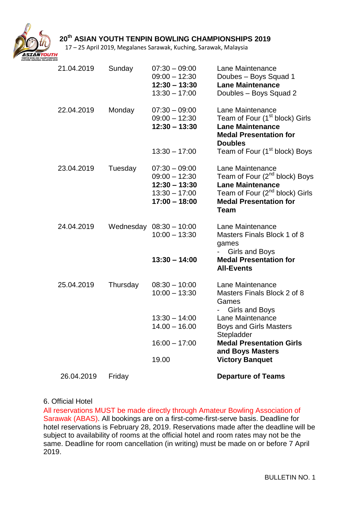

17 – 25 April 2019, Megalanes Sarawak, Kuching, Sarawak, Malaysia

| 21.04.2019 | Sunday   | $07:30 - 09:00$<br>$09:00 - 12:30$<br>$12:30 - 13:30$<br>$13:30 - 17:00$                    | Lane Maintenance<br>Doubes - Boys Squad 1<br><b>Lane Maintenance</b><br>Doubles - Boys Squad 2                                                                                         |
|------------|----------|---------------------------------------------------------------------------------------------|----------------------------------------------------------------------------------------------------------------------------------------------------------------------------------------|
| 22.04.2019 | Monday   | $07:30 - 09:00$<br>$09:00 - 12:30$<br>$12:30 - 13:30$                                       | Lane Maintenance<br>Team of Four (1 <sup>st</sup> block) Girls<br><b>Lane Maintenance</b><br><b>Medal Presentation for</b><br><b>Doubles</b>                                           |
|            |          | $13:30 - 17:00$                                                                             | Team of Four (1 <sup>st</sup> block) Boys                                                                                                                                              |
| 23.04.2019 | Tuesday  | $07:30 - 09:00$<br>$09:00 - 12:30$<br>$12:30 - 13:30$<br>$13:30 - 17:00$<br>$17:00 - 18:00$ | Lane Maintenance<br>Team of Four (2 <sup>nd</sup> block) Boys<br><b>Lane Maintenance</b><br>Team of Four (2 <sup>nd</sup> block) Girls<br><b>Medal Presentation for</b><br><b>Team</b> |
| 24.04.2019 |          | Wednesday 08:30 - 10:00<br>$10:00 - 13:30$                                                  | Lane Maintenance<br>Masters Finals Block 1 of 8<br>games<br>Girls and Boys                                                                                                             |
|            |          | $13:30 - 14:00$                                                                             | <b>Medal Presentation for</b><br><b>All-Events</b>                                                                                                                                     |
| 25.04.2019 | Thursday | $08:30 - 10:00$<br>$10:00 - 13:30$                                                          | Lane Maintenance<br>Masters Finals Block 2 of 8<br>Games<br><b>Girls and Boys</b>                                                                                                      |
|            |          | $13:30 - 14:00$<br>$14.00 - 16.00$                                                          | Lane Maintenance<br><b>Boys and Girls Masters</b><br>Stepladder                                                                                                                        |
|            |          | $16:00 - 17:00$                                                                             | <b>Medal Presentation Girls</b><br>and Boys Masters                                                                                                                                    |
|            |          | 19.00                                                                                       | <b>Victory Banquet</b>                                                                                                                                                                 |
| 26.04.2019 | Friday   |                                                                                             | <b>Departure of Teams</b>                                                                                                                                                              |

#### 6. Official Hotel

All reservations MUST be made directly through Amateur Bowling Association of Sarawak (ABAS). All bookings are on a first-come-first-serve basis. Deadline for hotel reservations is February 28, 2019. Reservations made after the deadline will be subject to availability of rooms at the official hotel and room rates may not be the same. Deadline for room cancellation (in writing) must be made on or before 7 April 2019.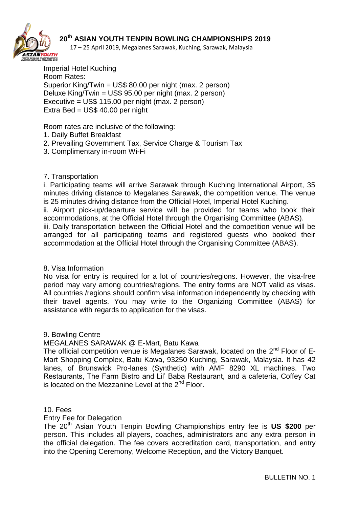

17 – 25 April 2019, Megalanes Sarawak, Kuching, Sarawak, Malaysia

Imperial Hotel Kuching Room Rates: Superior King/Twin = US\$ 80.00 per night (max. 2 person) Deluxe King/Twin = US\$ 95.00 per night (max. 2 person) Executive = US\$ 115.00 per night (max. 2 person) Extra Bed = US\$ 40.00 per night

Room rates are inclusive of the following:

- 1. Daily Buffet Breakfast
- 2. Prevailing Government Tax, Service Charge & Tourism Tax
- 3. Complimentary in-room Wi-Fi

#### 7. Transportation

i. Participating teams will arrive Sarawak through Kuching International Airport, 35 minutes driving distance to Megalanes Sarawak, the competition venue. The venue is 25 minutes driving distance from the Official Hotel, Imperial Hotel Kuching.

ii. Airport pick-up/departure service will be provided for teams who book their accommodations, at the Official Hotel through the Organising Committee (ABAS).

iii. Daily transportation between the Official Hotel and the competition venue will be arranged for all participating teams and registered guests who booked their accommodation at the Official Hotel through the Organising Committee (ABAS).

#### 8. Visa Information

No visa for entry is required for a lot of countries/regions. However, the visa-free period may vary among countries/regions. The entry forms are NOT valid as visas. All countries /regions should confirm visa information independently by checking with their travel agents. You may write to the Organizing Committee (ABAS) for assistance with regards to application for the visas.

#### 9. Bowling Centre

#### MEGALANES SARAWAK @ E-Mart, Batu Kawa

The official competition venue is Megalanes Sarawak, located on the 2<sup>nd</sup> Floor of E-Mart Shopping Complex, Batu Kawa, 93250 Kuching, Sarawak, Malaysia. It has 42 lanes, of Brunswick Pro-lanes (Synthetic) with AMF 8290 XL machines. Two Restaurants, The Farm Bistro and Lil' Baba Restaurant, and a cafeteria, Coffey Cat is located on the Mezzanine Level at the  $2<sup>nd</sup>$  Floor.

#### 10. Fees

#### Entry Fee for Delegation

The 20th Asian Youth Tenpin Bowling Championships entry fee is **US \$200** per person. This includes all players, coaches, administrators and any extra person in the official delegation. The fee covers accreditation card, transportation, and entry into the Opening Ceremony, Welcome Reception, and the Victory Banquet.